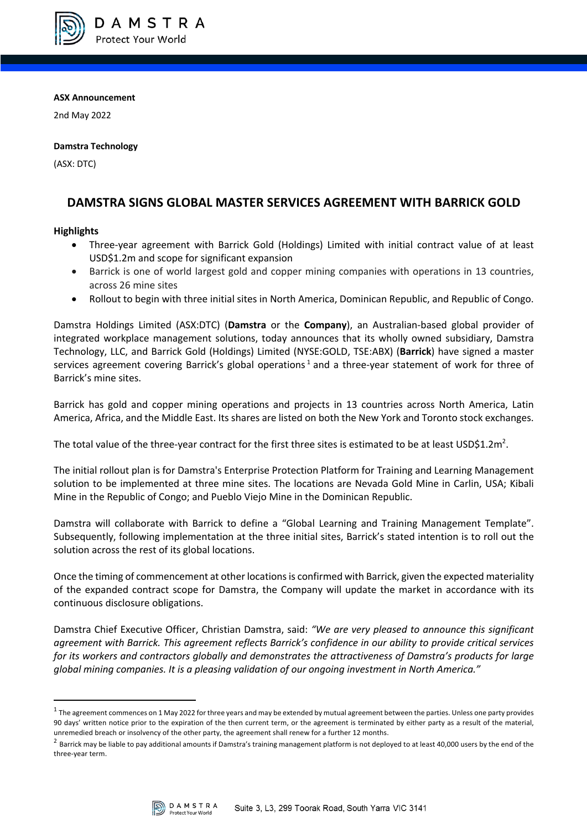

**ASX Announcement**

2nd May 2022

### **Damstra Technology**

(ASX: DTC)

# **DAMSTRA SIGNS GLOBAL MASTER SERVICES AGREEMENT WITH BARRICK GOLD**

## **Highlights**

- Three-year agreement with Barrick Gold (Holdings) Limited with initial contract value of at least USD\$1.2m and scope for significant expansion
- Barrick is one of world largest gold and copper mining companies with operations in 13 countries, across 26 mine sites
- Rollout to begin with three initial sites in North America, Dominican Republic, and Republic of Congo.

Damstra Holdings Limited (ASX:DTC) (**Damstra** or the **Company**), an Australian-based global provider of integrated workplace management solutions, today announces that its wholly owned subsidiary, Damstra Technology, LLC, and Barrick Gold (Holdings) Limited (NYSE:GOLD, TSE:ABX) (**Barrick**) have signed a master services agreement covering Barrick's global operations<sup>1</sup> and a three-year statement of work for three of Barrick's mine sites.

Barrick has gold and copper mining operations and projects in 13 countries across North America, Latin America, Africa, and the Middle East. Its shares are listed on both the New York and Toronto stock exchanges.

The total value of the three-year contract for the first three sites is estimated to be at least USD\$1.2m<sup>2</sup>.

The initial rollout plan is for Damstra's Enterprise Protection Platform for Training and Learning Management solution to be implemented at three mine sites. The locations are Nevada Gold Mine in Carlin, USA; Kibali Mine in the Republic of Congo; and Pueblo Viejo Mine in the Dominican Republic.

Damstra will collaborate with Barrick to define a "Global Learning and Training Management Template". Subsequently, following implementation at the three initial sites, Barrick's stated intention is to roll out the solution across the rest of its global locations.

Once the timing of commencement at other locations is confirmed with Barrick, given the expected materiality of the expanded contract scope for Damstra, the Company will update the market in accordance with its continuous disclosure obligations.

Damstra Chief Executive Officer, Christian Damstra, said: *"We are very pleased to announce this significant agreement with Barrick. This agreement reflects Barrick's confidence in our ability to provide critical services for its workers and contractors globally and demonstrates the attractiveness of Damstra's products for large global mining companies. It is a pleasing validation of our ongoing investment in North America."*

 $^2$  Barrick may be liable to pay additional amounts if Damstra's training management platform is not deployed to at least 40,000 users by the end of the three-year term.



 $1$  The agreement commences on 1 May 2022 for three years and may be extended by mutual agreement between the parties. Unless one party provides 90 days' written notice prior to the expiration of the then current term, or the agreement is terminated by either party as a result of the material, unremedied breach or insolvency of the other party, the agreement shall renew for a further 12 months.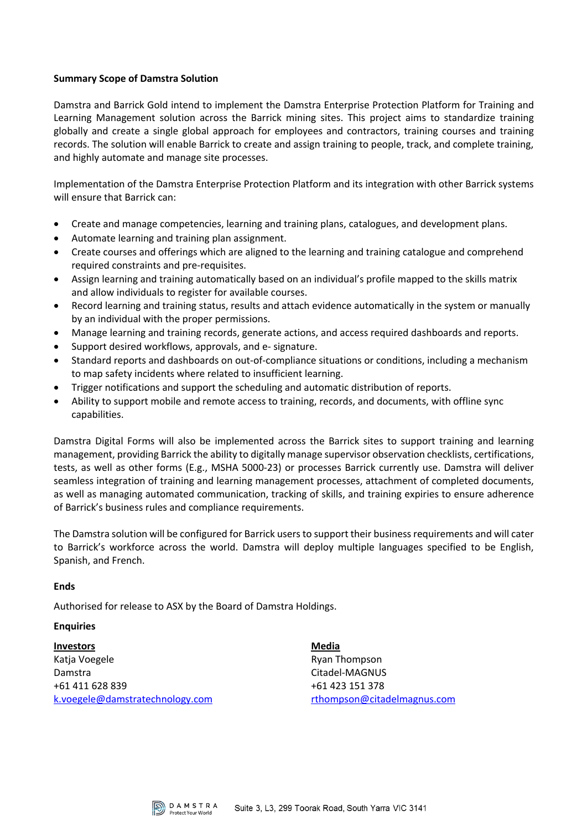### **Summary Scope of Damstra Solution**

Damstra and Barrick Gold intend to implement the Damstra Enterprise Protection Platform for Training and Learning Management solution across the Barrick mining sites. This project aims to standardize training globally and create a single global approach for employees and contractors, training courses and training records. The solution will enable Barrick to create and assign training to people, track, and complete training, and highly automate and manage site processes.

Implementation of the Damstra Enterprise Protection Platform and its integration with other Barrick systems will ensure that Barrick can:

- Create and manage competencies, learning and training plans, catalogues, and development plans.
- Automate learning and training plan assignment.
- Create courses and offerings which are aligned to the learning and training catalogue and comprehend required constraints and pre-requisites.
- Assign learning and training automatically based on an individual's profile mapped to the skills matrix and allow individuals to register for available courses.
- Record learning and training status, results and attach evidence automatically in the system or manually by an individual with the proper permissions.
- Manage learning and training records, generate actions, and access required dashboards and reports.
- Support desired workflows, approvals, and e- signature.
- Standard reports and dashboards on out-of-compliance situations or conditions, including a mechanism to map safety incidents where related to insufficient learning.
- Trigger notifications and support the scheduling and automatic distribution of reports.
- Ability to support mobile and remote access to training, records, and documents, with offline sync capabilities.

Damstra Digital Forms will also be implemented across the Barrick sites to support training and learning management, providing Barrick the ability to digitally manage supervisor observation checklists, certifications, tests, as well as other forms (E.g., MSHA 5000-23) or processes Barrick currently use. Damstra will deliver seamless integration of training and learning management processes, attachment of completed documents, as well as managing automated communication, tracking of skills, and training expiries to ensure adherence of Barrick's business rules and compliance requirements.

The Damstra solution will be configured for Barrick users to support their business requirements and will cater to Barrick's workforce across the world. Damstra will deploy multiple languages specified to be English, Spanish, and French.

#### **Ends**

Authorised for release to ASX by the Board of Damstra Holdings.

#### **Enquiries**

**Investors** Katja Voegele Damstra +61 411 628 839 k.voegele@damstratechnology.com **Media** Ryan Thompson Citadel-MAGNUS +61 423 151 378 rthompson@citadelmagnus.com